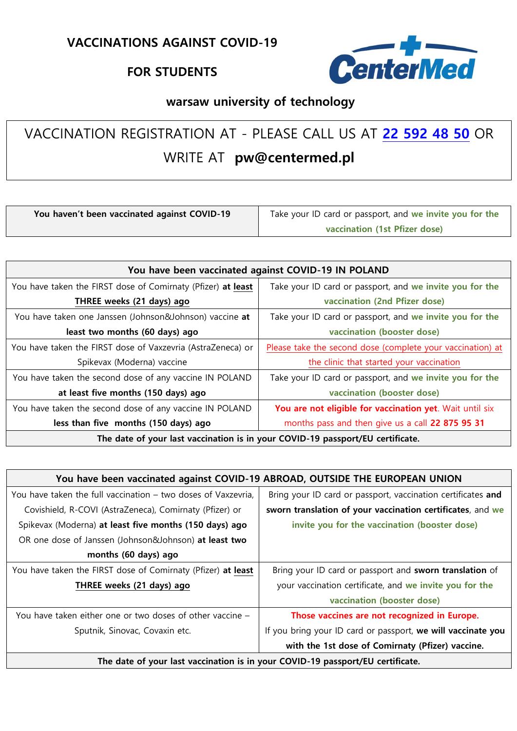## **FOR STUDENTS**



## **warsaw university of technology**

## VACCINATION REGISTRATION AT - PLEASE CALL US AT **22 [592 48 50](mailto:22 592%2048%2050)** OR WRITE AT **pw@centermed.pl**

| You haven't been vaccinated against COVID-19 | Take your ID card or passport, and we invite you for the |
|----------------------------------------------|----------------------------------------------------------|
|                                              | vaccination (1st Pfizer dose)                            |

| You have been vaccinated against COVID-19 IN POLAND                            |                                                            |  |
|--------------------------------------------------------------------------------|------------------------------------------------------------|--|
| You have taken the FIRST dose of Comirnaty (Pfizer) at least                   | Take your ID card or passport, and we invite you for the   |  |
| THREE weeks (21 days) ago                                                      | vaccination (2nd Pfizer dose)                              |  |
| You have taken one Janssen (Johnson&Johnson) vaccine at                        | Take your ID card or passport, and we invite you for the   |  |
| least two months (60 days) ago                                                 | vaccination (booster dose)                                 |  |
| You have taken the FIRST dose of Vaxzevria (AstraZeneca) or                    | Please take the second dose (complete your vaccination) at |  |
| Spikevax (Moderna) vaccine                                                     | the clinic that started your vaccination                   |  |
| You have taken the second dose of any vaccine IN POLAND                        | Take your ID card or passport, and we invite you for the   |  |
| at least five months (150 days) ago                                            | vaccination (booster dose)                                 |  |
| You have taken the second dose of any vaccine IN POLAND                        | You are not eligible for vaccination yet. Wait until six   |  |
| less than five months (150 days) ago                                           | months pass and then give us a call 22 875 95 31           |  |
| The date of your last vaccination is in your COVID-19 passport/EU certificate. |                                                            |  |

| You have been vaccinated against COVID-19 ABROAD, OUTSIDE THE EUROPEAN UNION   |                                                              |
|--------------------------------------------------------------------------------|--------------------------------------------------------------|
| You have taken the full vaccination – two doses of Vaxzevria,                  | Bring your ID card or passport, vaccination certificates and |
| Covishield, R-COVI (AstraZeneca), Comirnaty (Pfizer) or                        | sworn translation of your vaccination certificates, and we   |
| Spikevax (Moderna) at least five months (150 days) ago                         | invite you for the vaccination (booster dose)                |
| OR one dose of Janssen (Johnson&Johnson) at least two                          |                                                              |
| months (60 days) ago                                                           |                                                              |
| You have taken the FIRST dose of Comirnaty (Pfizer) at least                   | Bring your ID card or passport and sworn translation of      |
| THREE weeks (21 days) ago                                                      | your vaccination certificate, and we invite you for the      |
|                                                                                | vaccination (booster dose)                                   |
| You have taken either one or two doses of other vaccine -                      | Those vaccines are not recognized in Europe.                 |
| Sputnik, Sinovac, Covaxin etc.                                                 | If you bring your ID card or passport, we will vaccinate you |
|                                                                                | with the 1st dose of Comirnaty (Pfizer) vaccine.             |
| The date of your last vaccination is in your COVID-19 passport/EU certificate. |                                                              |